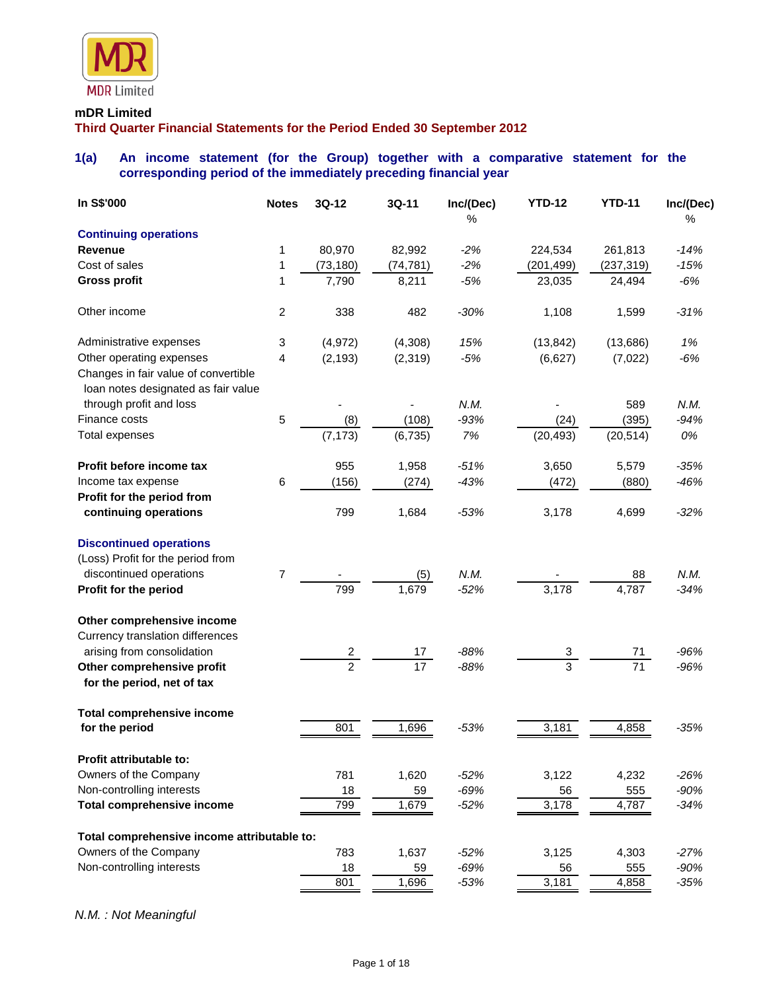

#### **mDR Limited**

**Third Quarter Financial Statements for the Period Ended 30 September 2012**

## **1(a) An income statement (for the Group) together with a comparative statement for the corresponding period of the immediately preceding financial year**

| In S\$'000                                                                  | <b>Notes</b>   | 3Q-12          | 3Q-11     | Inc/(Dec)<br>% | <b>YTD-12</b>  | <b>YTD-11</b> | Inc/(Dec)<br>$\%$ |
|-----------------------------------------------------------------------------|----------------|----------------|-----------|----------------|----------------|---------------|-------------------|
| <b>Continuing operations</b>                                                |                |                |           |                |                |               |                   |
| Revenue                                                                     | 1              | 80,970         | 82,992    | $-2%$          | 224,534        | 261,813       | $-14%$            |
| Cost of sales                                                               | 1              | (73, 180)      | (74, 781) | $-2%$          | (201, 499)     | (237, 319)    | $-15%$            |
| <b>Gross profit</b>                                                         | 1              | 7,790          | 8,211     | $-5%$          | 23,035         | 24,494        | $-6%$             |
| Other income                                                                | $\overline{c}$ | 338            | 482       | $-30%$         | 1,108          | 1,599         | $-31%$            |
| Administrative expenses                                                     | 3              | (4, 972)       | (4,308)   | 15%            | (13, 842)      | (13,686)      | 1%                |
| Other operating expenses                                                    | 4              | (2, 193)       | (2, 319)  | $-5%$          | (6,627)        | (7,022)       | $-6%$             |
| Changes in fair value of convertible<br>loan notes designated as fair value |                |                |           |                |                |               |                   |
| through profit and loss                                                     |                |                |           | N.M.           |                | 589           | N.M.              |
| Finance costs                                                               | $\sqrt{5}$     | (8)            | (108)     | $-93%$         | (24)           | (395)         | $-94%$            |
| <b>Total expenses</b>                                                       |                | (7, 173)       | (6, 735)  | 7%             | (20, 493)      | (20, 514)     | 0%                |
| Profit before income tax                                                    |                | 955            | 1,958     | $-51%$         | 3,650          | 5,579         | $-35%$            |
| Income tax expense                                                          | 6              | (156)          | (274)     | $-43%$         | (472)          | (880)         | $-46%$            |
| Profit for the period from                                                  |                |                |           |                |                |               |                   |
| continuing operations                                                       |                | 799            | 1,684     | $-53%$         | 3,178          | 4,699         | $-32%$            |
| <b>Discontinued operations</b>                                              |                |                |           |                |                |               |                   |
| (Loss) Profit for the period from                                           |                |                |           |                |                |               |                   |
| discontinued operations                                                     | $\overline{7}$ |                | (5)       | N.M.           |                | 88            | N.M.              |
| Profit for the period                                                       |                | 799            | 1,679     | $-52%$         | 3,178          | 4,787         | $-34%$            |
| Other comprehensive income                                                  |                |                |           |                |                |               |                   |
| Currency translation differences                                            |                |                |           |                |                |               |                   |
| arising from consolidation                                                  |                | $\overline{2}$ | 17        | $-88%$         | 3              | 71            | $-96%$            |
| Other comprehensive profit<br>for the period, net of tax                    |                | $\overline{2}$ | 17        | $-88%$         | $\overline{3}$ | 71            | $-96%$            |
| <b>Total comprehensive income</b>                                           |                |                |           |                |                |               |                   |
| for the period                                                              |                | 801            | 1,696     | $-53%$         | 3,181          | 4,858         | $-35%$            |
| Profit attributable to:                                                     |                |                |           |                |                |               |                   |
| Owners of the Company                                                       |                | 781            | 1,620     | $-52%$         | 3,122          | 4,232         | $-26%$            |
| Non-controlling interests                                                   |                | 18             | 59        | $-69%$         | 56             | 555           | $-90%$            |
| <b>Total comprehensive income</b>                                           |                | 799            | 1,679     | $-52%$         | 3,178          | 4,787         | $-34%$            |
| Total comprehensive income attributable to:                                 |                |                |           |                |                |               |                   |
| Owners of the Company                                                       |                | 783            | 1,637     | $-52%$         | 3,125          | 4,303         | $-27%$            |
| Non-controlling interests                                                   |                | 18             | 59        | $-69%$         | 56             | 555           | $-90%$            |
|                                                                             |                | 801            | 1,696     | $-53%$         | 3,181          | 4,858         | $-35%$            |

*N.M. : Not Meaningful*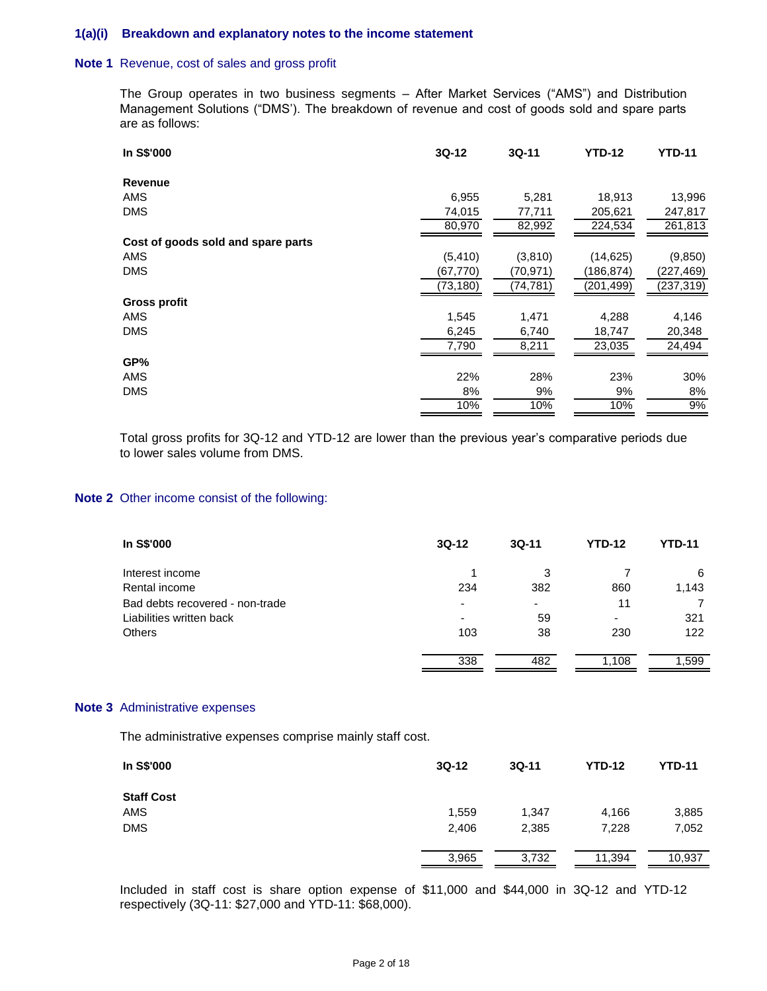#### **1(a)(i) Breakdown and explanatory notes to the income statement**

#### **Note 1** Revenue, cost of sales and gross profit

The Group operates in two business segments – After Market Services ("AMS") and Distribution Management Solutions ("DMS'). The breakdown of revenue and cost of goods sold and spare parts are as follows:

| In S\$'000                         | $3Q-12$   | $3Q-11$   | <b>YTD-12</b> | <b>YTD-11</b> |
|------------------------------------|-----------|-----------|---------------|---------------|
| <b>Revenue</b>                     |           |           |               |               |
| <b>AMS</b>                         | 6,955     | 5,281     | 18,913        | 13,996        |
| <b>DMS</b>                         | 74,015    | 77,711    | 205,621       | 247,817       |
|                                    | 80,970    | 82,992    | 224,534       | 261,813       |
| Cost of goods sold and spare parts |           |           |               |               |
| AMS                                | (5, 410)  | (3,810)   | (14, 625)     | (9,850)       |
| <b>DMS</b>                         | (67, 770) | (70,971)  | (186,874)     | (227, 469)    |
|                                    | (73, 180) | (74, 781) | (201, 499)    | (237, 319)    |
| Gross profit                       |           |           |               |               |
| AMS                                | 1,545     | 1,471     | 4,288         | 4,146         |
| <b>DMS</b>                         | 6,245     | 6,740     | 18,747        | 20,348        |
|                                    | 7,790     | 8,211     | 23,035        | 24,494        |
| GP%                                |           |           |               |               |
| AMS                                | 22%       | 28%       | 23%           | 30%           |
| <b>DMS</b>                         | 8%        | 9%        | 9%            | 8%            |
|                                    | 10%       | 10%       | 10%           | 9%            |

Total gross profits for 3Q-12 and YTD-12 are lower than the previous year's comparative periods due to lower sales volume from DMS.

#### **Note 2** Other income consist of the following:

| In S\$'000                      | $3Q-12$                  | $3Q-11$                  | <b>YTD-12</b>            | YTD-11 |
|---------------------------------|--------------------------|--------------------------|--------------------------|--------|
| Interest income                 |                          | 3                        |                          | 6      |
| Rental income                   | 234                      | 382                      | 860                      | 1,143  |
| Bad debts recovered - non-trade | $\overline{\phantom{0}}$ | $\overline{\phantom{0}}$ | 11                       |        |
| Liabilities written back        | $\overline{\phantom{0}}$ | 59                       | $\overline{\phantom{0}}$ | 321    |
| <b>Others</b>                   | 103                      | 38                       | 230                      | 122    |
|                                 | 338                      | 482                      | 1,108                    | 1.599  |

#### **Note 3** Administrative expenses

The administrative expenses comprise mainly staff cost.

| In S\$'000        | $3Q-12$ | $3Q-11$ | <b>YTD-12</b> | <b>YTD-11</b> |
|-------------------|---------|---------|---------------|---------------|
| <b>Staff Cost</b> |         |         |               |               |
| AMS               | 1,559   | 1,347   | 4,166         | 3,885         |
| <b>DMS</b>        | 2,406   | 2,385   | 7,228         | 7,052         |
|                   | 3,965   | 3,732   | 11,394        | 10,937        |

Included in staff cost is share option expense of \$11,000 and \$44,000 in 3Q-12 and YTD-12 respectively (3Q-11: \$27,000 and YTD-11: \$68,000).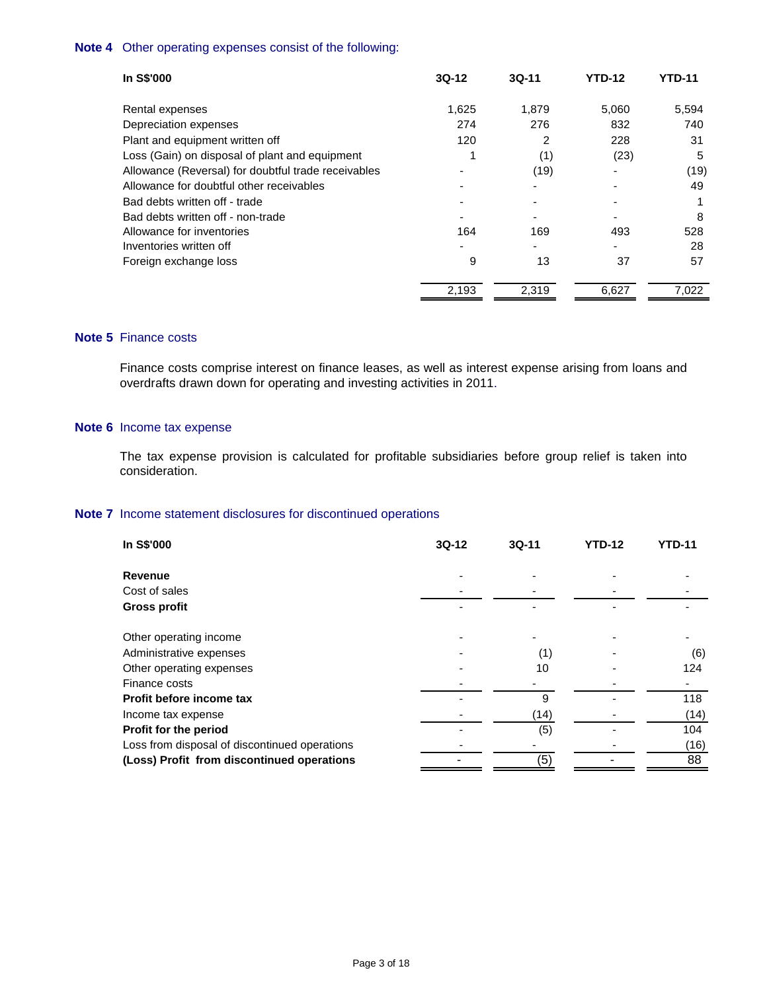### **Note 4** Other operating expenses consist of the following:

| In S\$'000                                          | $3Q-12$ | $3Q-11$ | <b>YTD-12</b> | YTD-11 |
|-----------------------------------------------------|---------|---------|---------------|--------|
| Rental expenses                                     | 1,625   | 1,879   | 5,060         | 5,594  |
| Depreciation expenses                               | 274     | 276     | 832           | 740    |
| Plant and equipment written off                     | 120     | 2       | 228           | 31     |
| Loss (Gain) on disposal of plant and equipment      |         | (1)     | (23)          | 5      |
| Allowance (Reversal) for doubtful trade receivables |         | (19)    |               | (19)   |
| Allowance for doubtful other receivables            |         |         |               | 49     |
| Bad debts written off - trade                       |         |         |               | 1      |
| Bad debts written off - non-trade                   |         |         |               | 8      |
| Allowance for inventories                           | 164     | 169     | 493           | 528    |
| Inventories written off                             |         |         |               | 28     |
| Foreign exchange loss                               | 9       | 13      | 37            | 57     |
|                                                     | 2,193   | 2,319   | 6,627         | 7,022  |

## **Note 5** Finance costs

Finance costs comprise interest on finance leases, as well as interest expense arising from loans and overdrafts drawn down for operating and investing activities in 2011.

### **Note 6** Income tax expense

The tax expense provision is calculated for profitable subsidiaries before group relief is taken into consideration.

### **Note 7** Income statement disclosures for discontinued operations

| In S\$'000                                    | $3Q-12$ | $3Q-11$ | <b>YTD-12</b> | <b>YTD-11</b> |
|-----------------------------------------------|---------|---------|---------------|---------------|
| <b>Revenue</b>                                |         |         |               |               |
| Cost of sales                                 |         |         |               |               |
| <b>Gross profit</b>                           |         |         |               |               |
| Other operating income                        |         |         |               |               |
| Administrative expenses                       |         | (1)     |               | (6)           |
| Other operating expenses                      |         | 10      |               | 124           |
| Finance costs                                 |         |         |               |               |
| Profit before income tax                      |         | 9       |               | 118           |
| Income tax expense                            |         | (14)    |               | (14)          |
| Profit for the period                         |         | (5)     |               | 104           |
| Loss from disposal of discontinued operations |         |         |               | (16)          |
| (Loss) Profit from discontinued operations    |         | (5)     |               | 88            |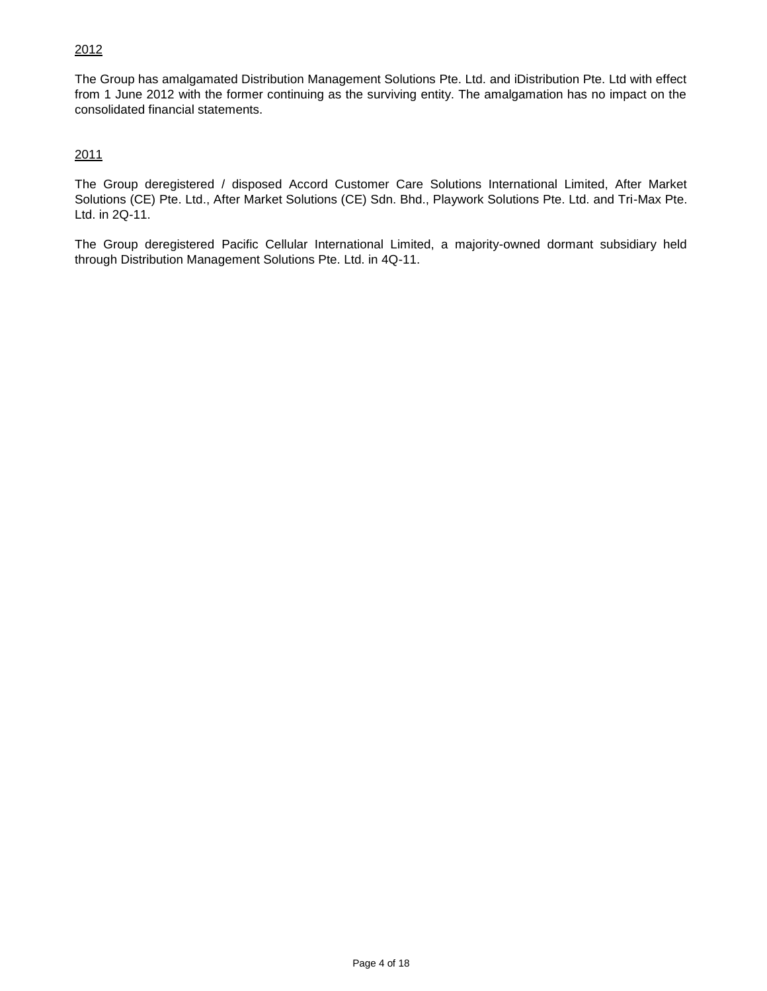## 2012

The Group has amalgamated Distribution Management Solutions Pte. Ltd. and iDistribution Pte. Ltd with effect from 1 June 2012 with the former continuing as the surviving entity. The amalgamation has no impact on the consolidated financial statements.

## 2011

The Group deregistered / disposed Accord Customer Care Solutions International Limited, After Market Solutions (CE) Pte. Ltd., After Market Solutions (CE) Sdn. Bhd., Playwork Solutions Pte. Ltd. and Tri-Max Pte. Ltd. in 2Q-11.

The Group deregistered Pacific Cellular International Limited, a majority-owned dormant subsidiary held through Distribution Management Solutions Pte. Ltd. in 4Q-11.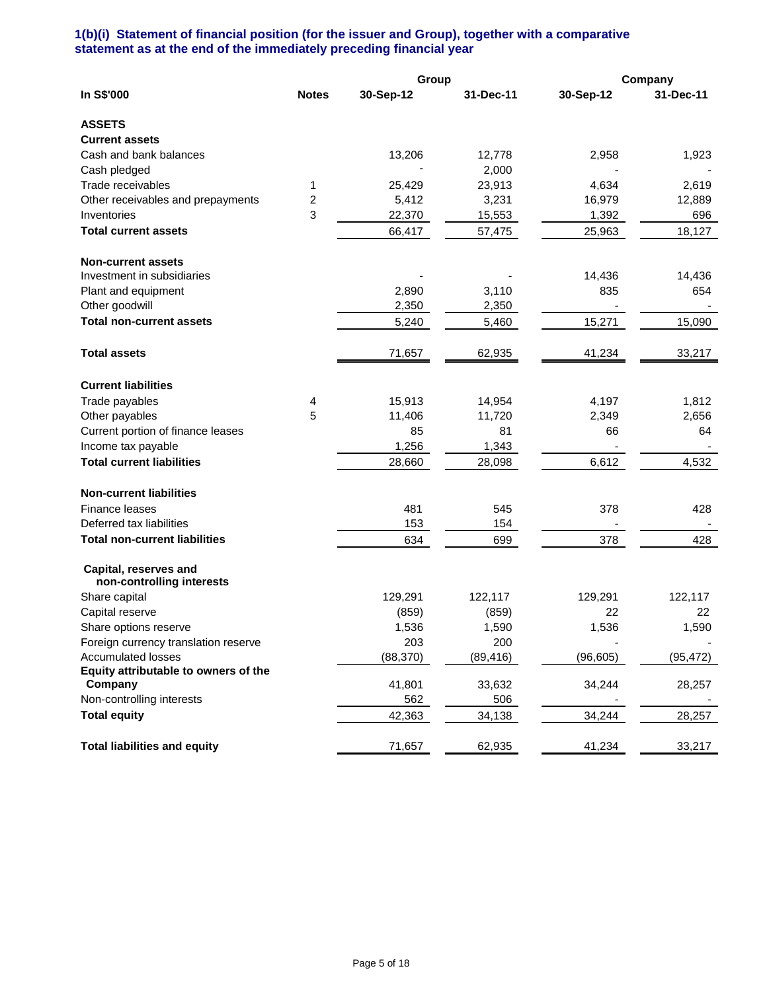### **1(b)(i) Statement of financial position (for the issuer and Group), together with a comparative statement as at the end of the immediately preceding financial year**

|                                                    |              | Group     |           |           | Company   |
|----------------------------------------------------|--------------|-----------|-----------|-----------|-----------|
| In S\$'000                                         | <b>Notes</b> | 30-Sep-12 | 31-Dec-11 | 30-Sep-12 | 31-Dec-11 |
| <b>ASSETS</b>                                      |              |           |           |           |           |
| <b>Current assets</b>                              |              |           |           |           |           |
| Cash and bank balances                             |              | 13,206    | 12,778    | 2,958     | 1,923     |
| Cash pledged                                       |              |           | 2,000     |           |           |
| Trade receivables                                  | 1            | 25,429    | 23,913    | 4,634     | 2,619     |
| Other receivables and prepayments                  | 2            | 5,412     | 3,231     | 16,979    | 12,889    |
| Inventories                                        | 3            | 22,370    | 15,553    | 1,392     | 696       |
| <b>Total current assets</b>                        |              | 66,417    | 57,475    | 25,963    | 18,127    |
| <b>Non-current assets</b>                          |              |           |           |           |           |
| Investment in subsidiaries                         |              |           |           | 14,436    | 14,436    |
| Plant and equipment                                |              | 2,890     | 3,110     | 835       | 654       |
| Other goodwill                                     |              | 2,350     | 2,350     |           |           |
| <b>Total non-current assets</b>                    |              | 5,240     | 5,460     | 15,271    | 15,090    |
| <b>Total assets</b>                                |              | 71,657    | 62,935    | 41,234    | 33,217    |
| <b>Current liabilities</b>                         |              |           |           |           |           |
| Trade payables                                     | 4            | 15,913    | 14,954    | 4,197     | 1,812     |
| Other payables                                     | 5            | 11,406    | 11,720    | 2,349     | 2,656     |
| Current portion of finance leases                  |              | 85        | 81        | 66        | 64        |
| Income tax payable                                 |              | 1,256     | 1,343     |           |           |
| <b>Total current liabilities</b>                   |              | 28,660    | 28,098    | 6,612     | 4,532     |
| <b>Non-current liabilities</b>                     |              |           |           |           |           |
| Finance leases                                     |              | 481       | 545       | 378       | 428       |
| Deferred tax liabilities                           |              | 153       | 154       |           |           |
| <b>Total non-current liabilities</b>               |              | 634       | 699       | 378       | 428       |
| Capital, reserves and<br>non-controlling interests |              |           |           |           |           |
| Share capital                                      |              | 129,291   | 122,117   | 129,291   | 122,117   |
| Capital reserve                                    |              | (859)     | (859)     | 22        | 22        |
| Share options reserve                              |              | 1,536     | 1,590     | 1,536     | 1,590     |
| Foreign currency translation reserve               |              | 203       | 200       |           |           |
| <b>Accumulated losses</b>                          |              | (88, 370) | (89,416)  | (96, 605) | (95, 472) |
| Equity attributable to owners of the               |              |           |           |           |           |
| Company                                            |              | 41,801    | 33,632    | 34,244    | 28,257    |
| Non-controlling interests                          |              | 562       | 506       |           |           |
| <b>Total equity</b>                                |              | 42,363    | 34,138    | 34,244    | 28,257    |
| <b>Total liabilities and equity</b>                |              | 71,657    | 62,935    | 41,234    | 33,217    |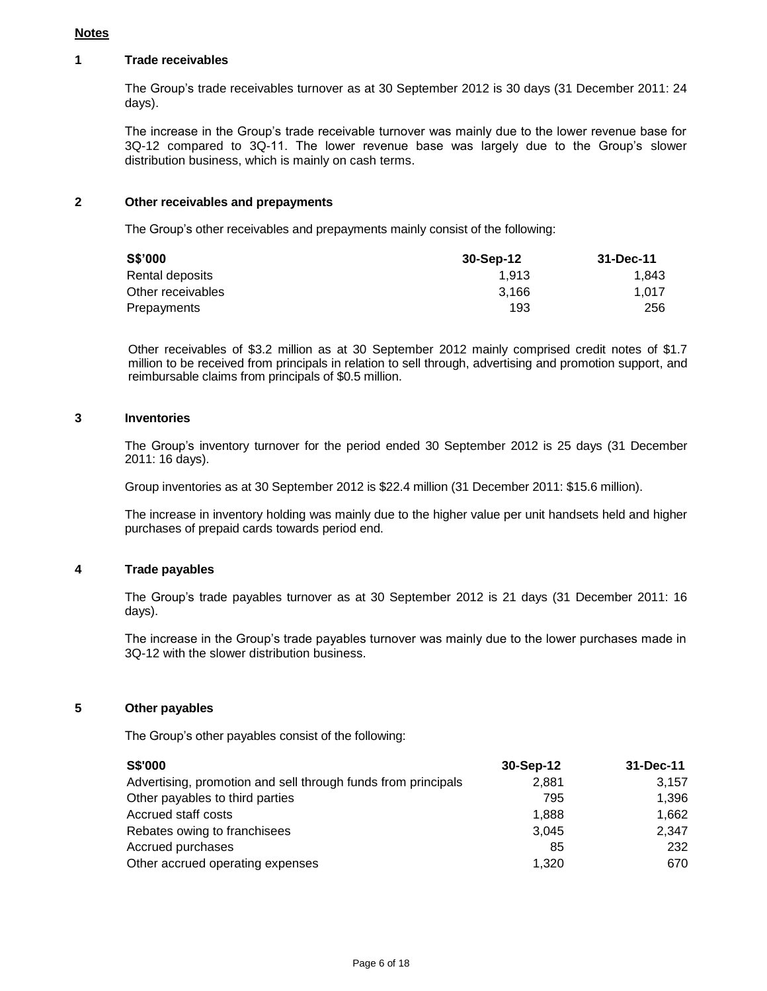#### **Notes**

#### **1 Trade receivables**

The Group's trade receivables turnover as at 30 September 2012 is 30 days (31 December 2011: 24 days).

The increase in the Group's trade receivable turnover was mainly due to the lower revenue base for 3Q-12 compared to 3Q-11. The lower revenue base was largely due to the Group's slower distribution business, which is mainly on cash terms.

#### **2 Other receivables and prepayments**

The Group's other receivables and prepayments mainly consist of the following:

| S\$'000           | 30-Sep-12 | 31-Dec-11 |
|-------------------|-----------|-----------|
| Rental deposits   | 1.913     | 1.843     |
| Other receivables | 3.166     | 1.017     |
| Prepayments       | 193       | 256       |

Other receivables of \$3.2 million as at 30 September 2012 mainly comprised credit notes of \$1.7 million to be received from principals in relation to sell through, advertising and promotion support, and reimbursable claims from principals of \$0.5 million.

#### **3 Inventories**

The Group's inventory turnover for the period ended 30 September 2012 is 25 days (31 December 2011: 16 days).

Group inventories as at 30 September 2012 is \$22.4 million (31 December 2011: \$15.6 million).

The increase in inventory holding was mainly due to the higher value per unit handsets held and higher purchases of prepaid cards towards period end.

#### **4 Trade payables**

The Group's trade payables turnover as at 30 September 2012 is 21 days (31 December 2011: 16 days).

The increase in the Group's trade payables turnover was mainly due to the lower purchases made in 3Q-12 with the slower distribution business.

#### **5 Other payables**

The Group's other payables consist of the following:

| <b>S\$'000</b>                                                | 30-Sep-12 | 31-Dec-11 |
|---------------------------------------------------------------|-----------|-----------|
| Advertising, promotion and sell through funds from principals | 2.881     | 3.157     |
| Other payables to third parties                               | 795       | 1.396     |
| Accrued staff costs                                           | 1,888     | 1.662     |
| Rebates owing to franchisees                                  | 3.045     | 2,347     |
| Accrued purchases                                             | 85        | 232       |
| Other accrued operating expenses                              | 1,320     | 670       |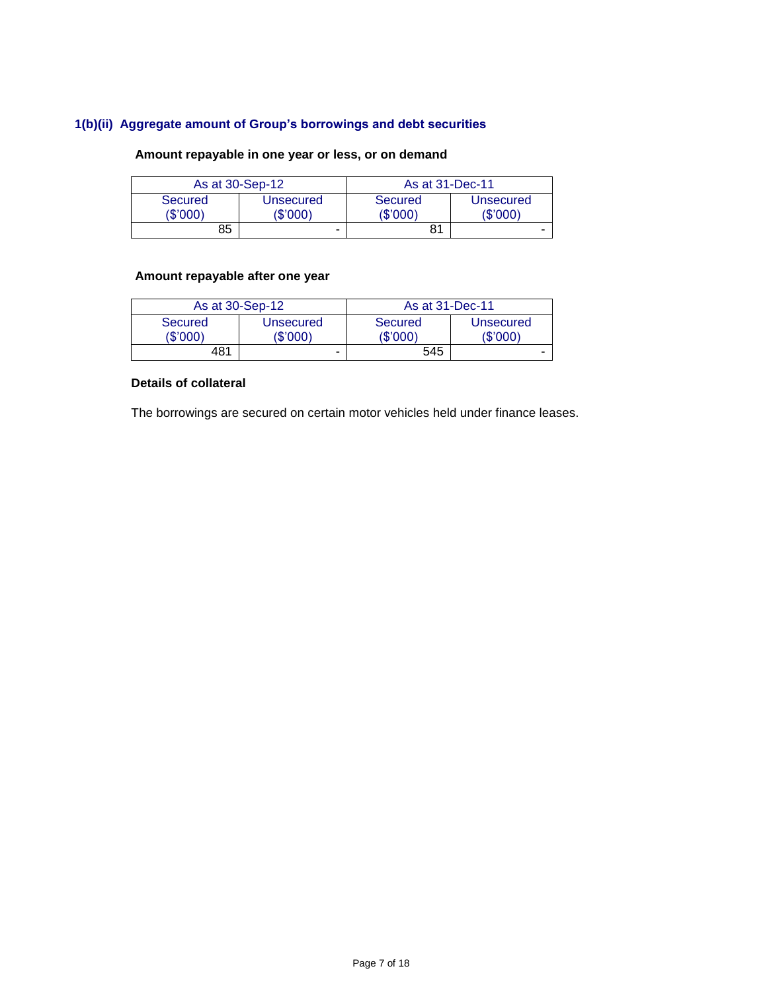## **1(b)(ii) Aggregate amount of Group's borrowings and debt securities**

# **Amount repayable in one year or less, or on demand**

| As at 30-Sep-12     |                       | As at 31-Dec-11     |                      |  |
|---------------------|-----------------------|---------------------|----------------------|--|
| Secured<br>(\$'000) | Unsecured<br>(\$'000) | Secured<br>(\$'000) | Unsecured<br>(S'000) |  |
| 85                  | -                     | 81                  |                      |  |

# **Amount repayable after one year**

| As at 30-Sep-12     |                       | As at 31-Dec-11     |                       |  |
|---------------------|-----------------------|---------------------|-----------------------|--|
| Secured<br>(\$'000) | Unsecured<br>(\$'000) | Secured<br>(\$'000) | Unsecured<br>(\$'000) |  |
| 481                 | -                     | 545                 | -                     |  |

### **Details of collateral**

The borrowings are secured on certain motor vehicles held under finance leases.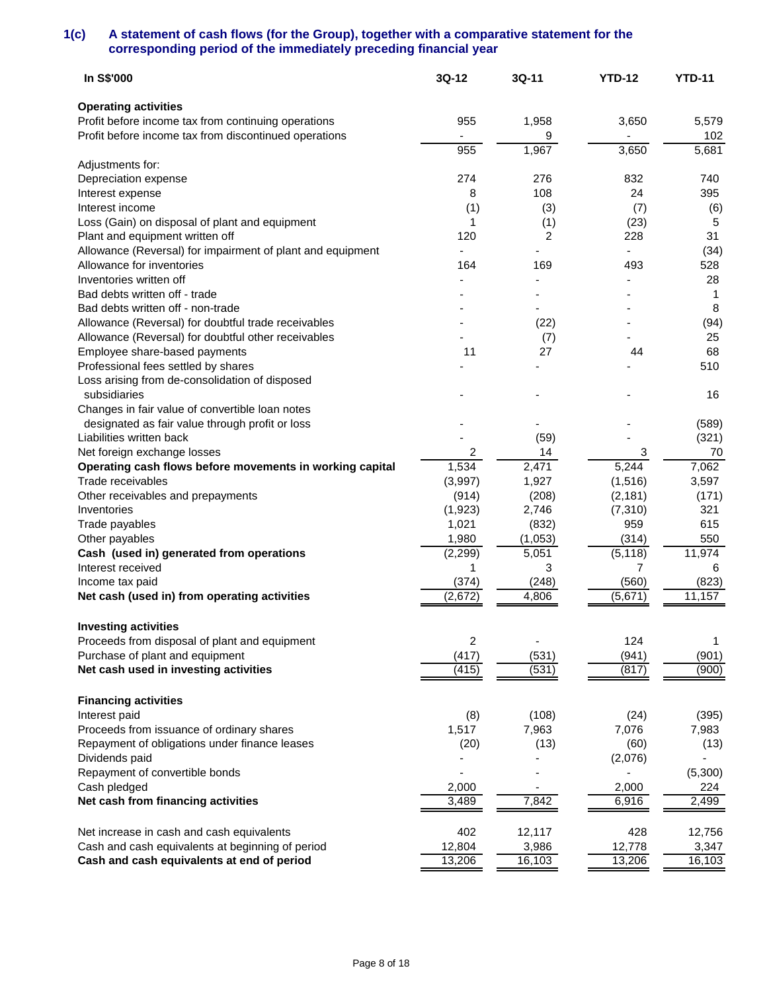### **1(c) A statement of cash flows (for the Group), together with a comparative statement for the corresponding period of the immediately preceding financial year**

| In S\$'000                                                                              | 3Q-12      | 3Q-11       | <b>YTD-12</b> | <b>YTD-11</b> |
|-----------------------------------------------------------------------------------------|------------|-------------|---------------|---------------|
| <b>Operating activities</b>                                                             |            |             |               |               |
| Profit before income tax from continuing operations                                     | 955        | 1,958       | 3,650         | 5,579         |
| Profit before income tax from discontinued operations                                   |            | 9           |               | 102           |
|                                                                                         | 955        | 1,967       | 3,650         | 5,681         |
| Adjustments for:                                                                        |            |             |               |               |
| Depreciation expense                                                                    | 274<br>8   | 276<br>108  | 832<br>24     | 740<br>395    |
| Interest expense<br>Interest income                                                     |            |             |               |               |
|                                                                                         | (1)        | (3)         | (7)           | (6)<br>5      |
| Loss (Gain) on disposal of plant and equipment<br>Plant and equipment written off       | 1<br>120   | (1)<br>2    | (23)<br>228   | 31            |
| Allowance (Reversal) for impairment of plant and equipment                              |            |             |               | (34)          |
| Allowance for inventories                                                               | 164        | 169         | 493           | 528           |
| Inventories written off                                                                 |            |             |               | 28            |
| Bad debts written off - trade                                                           |            |             |               | 1             |
| Bad debts written off - non-trade                                                       |            |             |               | 8             |
| Allowance (Reversal) for doubtful trade receivables                                     |            |             |               |               |
| Allowance (Reversal) for doubtful other receivables                                     |            | (22)<br>(7) |               | (94)<br>25    |
|                                                                                         | 11         | 27          | 44            | 68            |
| Employee share-based payments<br>Professional fees settled by shares                    |            |             |               | 510           |
| Loss arising from de-consolidation of disposed                                          |            |             |               |               |
| subsidiaries                                                                            |            |             |               | 16            |
| Changes in fair value of convertible loan notes                                         |            |             |               |               |
| designated as fair value through profit or loss                                         |            |             |               |               |
| Liabilities written back                                                                |            |             |               | (589)         |
|                                                                                         |            | (59)<br>14  |               | (321)<br>70   |
| Net foreign exchange losses<br>Operating cash flows before movements in working capital | 2<br>1,534 | 2,471       | 3<br>5,244    | 7,062         |
| Trade receivables                                                                       | (3,997)    | 1,927       | (1, 516)      | 3,597         |
| Other receivables and prepayments                                                       | (914)      | (208)       | (2, 181)      | (171)         |
| Inventories                                                                             | (1,923)    | 2,746       | (7, 310)      | 321           |
| Trade payables                                                                          | 1,021      | (832)       | 959           | 615           |
| Other payables                                                                          | 1,980      | (1,053)     | (314)         | 550           |
| Cash (used in) generated from operations                                                | (2, 299)   | 5,051       | (5, 118)      | 11,974        |
| Interest received                                                                       | 1          | 3           | 7             | 6             |
| Income tax paid                                                                         | (374)      | (248)       | (560)         | (823)         |
| Net cash (used in) from operating activities                                            | (2,672)    | 4,806       | (5,671)       | 11,157        |
|                                                                                         |            |             |               |               |
| <b>Investing activities</b>                                                             |            |             |               |               |
| Proceeds from disposal of plant and equipment                                           | 2          |             | 124           | 1             |
| Purchase of plant and equipment                                                         | (417)      | (531)       | (941)         | (901)         |
| Net cash used in investing activities                                                   | (415)      | (531)       | (817)         | (900)         |
| <b>Financing activities</b>                                                             |            |             |               |               |
| Interest paid                                                                           | (8)        | (108)       | (24)          | (395)         |
| Proceeds from issuance of ordinary shares                                               | 1,517      | 7,963       | 7,076         | 7,983         |
| Repayment of obligations under finance leases                                           | (20)       | (13)        | (60)          | (13)          |
| Dividends paid                                                                          |            |             | (2,076)       |               |
| Repayment of convertible bonds                                                          |            |             |               | (5,300)       |
| Cash pledged                                                                            | 2,000      |             | 2,000         | 224           |
| Net cash from financing activities                                                      | 3,489      | 7,842       | 6,916         | 2,499         |
|                                                                                         |            |             |               |               |
| Net increase in cash and cash equivalents                                               | 402        | 12,117      | 428           | 12,756        |
| Cash and cash equivalents at beginning of period                                        | 12,804     | 3,986       | 12,778        | 3,347         |
| Cash and cash equivalents at end of period                                              | 13,206     | 16,103      | 13,206        | 16,103        |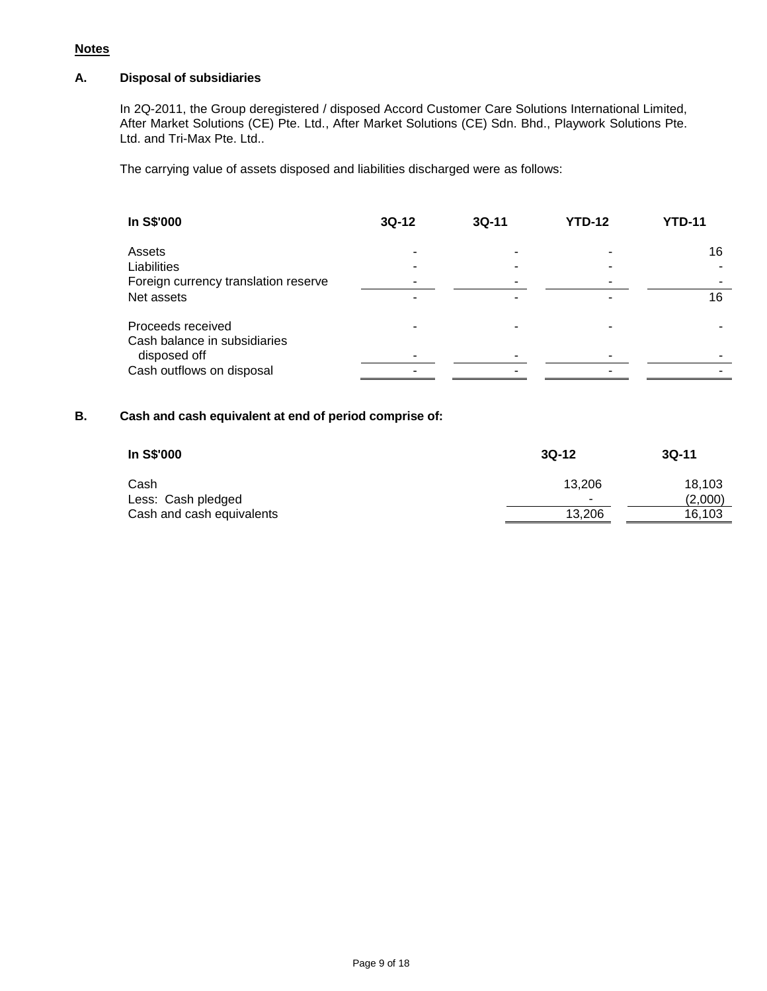### **Notes**

## **A. Disposal of subsidiaries**

In 2Q-2011, the Group deregistered / disposed Accord Customer Care Solutions International Limited, After Market Solutions (CE) Pte. Ltd., After Market Solutions (CE) Sdn. Bhd., Playwork Solutions Pte. Ltd. and Tri-Max Pte. Ltd..

The carrying value of assets disposed and liabilities discharged were as follows:

| In S\$'000                                   | $3Q-12$ | $3Q-11$ | <b>YTD-12</b> | <b>YTD-11</b> |
|----------------------------------------------|---------|---------|---------------|---------------|
| Assets                                       |         |         |               | 16            |
| Liabilities                                  |         |         |               |               |
| Foreign currency translation reserve         |         |         |               |               |
| Net assets                                   |         |         |               | 16            |
| Proceeds received                            |         |         |               |               |
| Cash balance in subsidiaries<br>disposed off |         |         |               |               |
| Cash outflows on disposal                    |         |         |               |               |

## **B. Cash and cash equivalent at end of period comprise of:**

| In S\$'000                | $3Q-12$ | $3Q-11$ |
|---------------------------|---------|---------|
| Cash                      | 13.206  | 18.103  |
| Less: Cash pledged        |         | (2,000) |
| Cash and cash equivalents | 13.206  | 16,103  |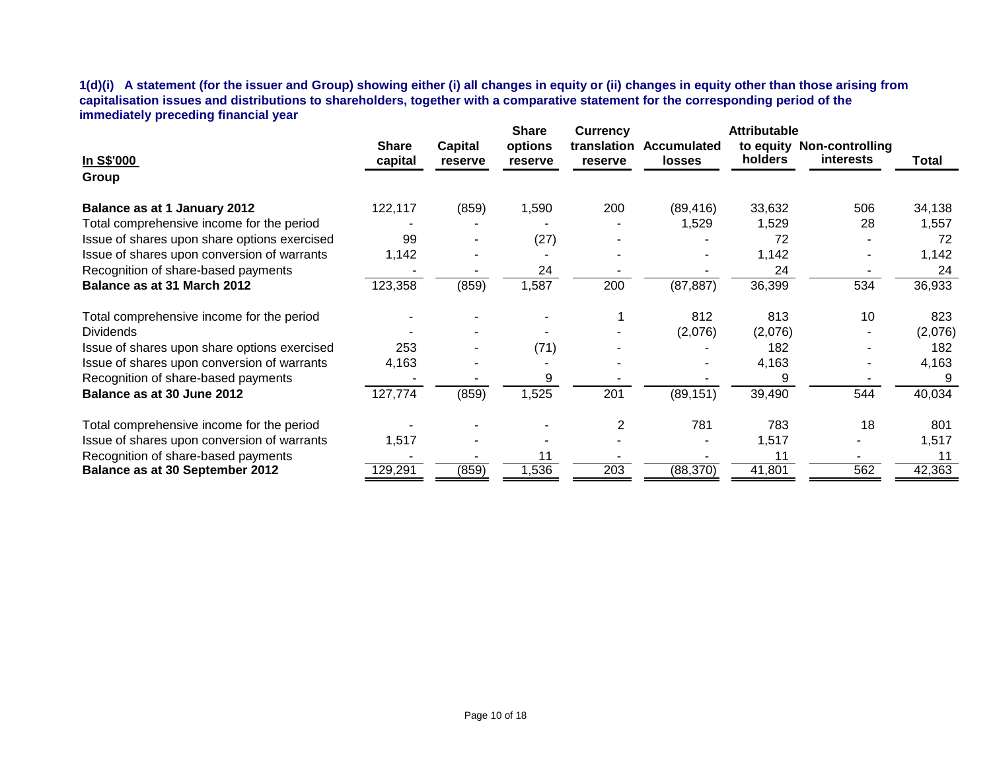**1(d)(i) A statement (for the issuer and Group) showing either (i) all changes in equity or (ii) changes in equity other than those arising from capitalisation issues and distributions to shareholders, together with a comparative statement for the corresponding period of the immediately preceding financial year**

|                                              |                         |                    | <b>Share</b>       | <b>Currency</b>        |                              | <b>Attributable</b> |                                               |         |
|----------------------------------------------|-------------------------|--------------------|--------------------|------------------------|------------------------------|---------------------|-----------------------------------------------|---------|
| In S\$'000                                   | <b>Share</b><br>capital | Capital<br>reserve | options<br>reserve | translation<br>reserve | Accumulated<br><b>losses</b> | holders             | to equity Non-controlling<br><b>interests</b> | Total   |
| Group                                        |                         |                    |                    |                        |                              |                     |                                               |         |
| Balance as at 1 January 2012                 | 122,117                 | (859)              | 1,590              | 200                    | (89, 416)                    | 33,632              | 506                                           | 34,138  |
| Total comprehensive income for the period    |                         |                    |                    |                        | 1,529                        | 1,529               | 28                                            | 1,557   |
| Issue of shares upon share options exercised | 99                      |                    | (27)               |                        |                              | 72                  |                                               | 72      |
| Issue of shares upon conversion of warrants  | 1,142                   |                    |                    |                        |                              | 1,142               |                                               | 1,142   |
| Recognition of share-based payments          |                         |                    | 24                 |                        |                              | 24                  |                                               | 24      |
| Balance as at 31 March 2012                  | 123,358                 | (859)              | 1,587              | 200                    | (87, 887)                    | 36,399              | 534                                           | 36,933  |
| Total comprehensive income for the period    |                         |                    |                    |                        | 812                          | 813                 | 10                                            | 823     |
| <b>Dividends</b>                             |                         |                    |                    |                        | (2,076)                      | (2,076)             |                                               | (2,076) |
| Issue of shares upon share options exercised | 253                     |                    | (71)               |                        |                              | 182                 |                                               | 182     |
| Issue of shares upon conversion of warrants  | 4,163                   |                    |                    |                        |                              | 4,163               |                                               | 4,163   |
| Recognition of share-based payments          |                         |                    | 9                  |                        |                              | 9                   |                                               |         |
| Balance as at 30 June 2012                   | 127,774                 | (859)              | 1,525              | 201                    | (89, 151)                    | 39,490              | 544                                           | 40,034  |
| Total comprehensive income for the period    |                         |                    |                    | 2                      | 781                          | 783                 | 18                                            | 801     |
| Issue of shares upon conversion of warrants  | 1,517                   |                    |                    |                        |                              | 1,517               |                                               | 1,517   |
| Recognition of share-based payments          |                         |                    | 11                 |                        |                              | 11                  |                                               | 11      |
| <b>Balance as at 30 September 2012</b>       | 129,291                 | (859)              | 1,536              | 203                    | (88, 370)                    | 41,801              | 562                                           | 42,363  |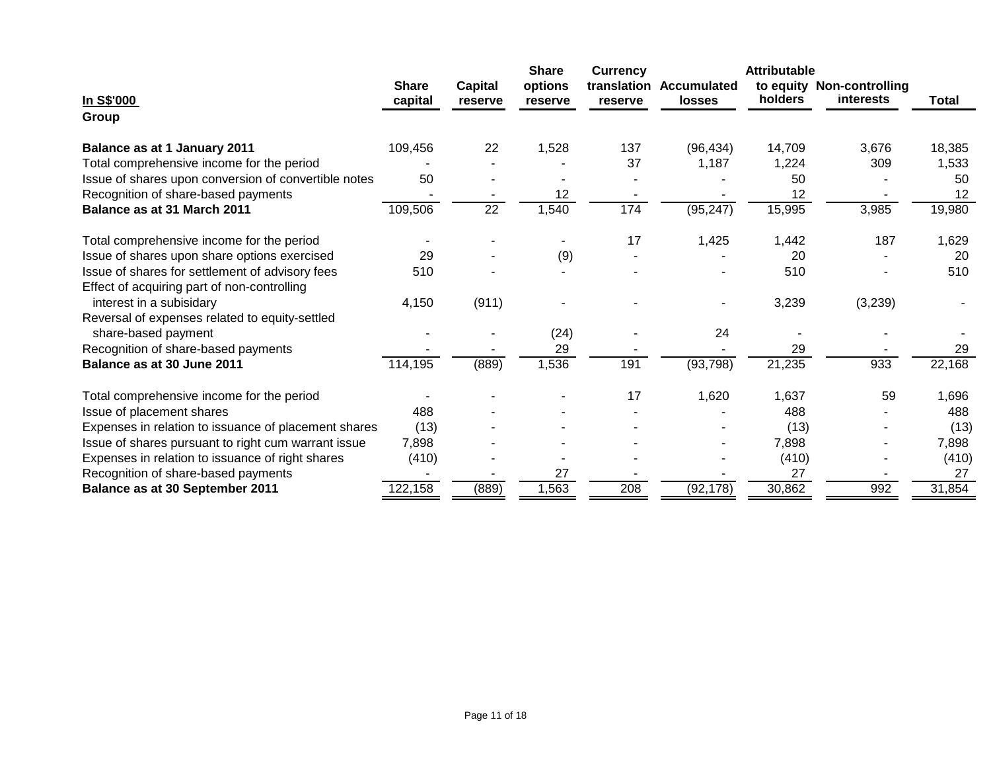|                                                      |                         |                           | <b>Share</b>       | <b>Currency</b> |                                          | <b>Attributable</b> |                                        |              |
|------------------------------------------------------|-------------------------|---------------------------|--------------------|-----------------|------------------------------------------|---------------------|----------------------------------------|--------------|
| In S\$'000                                           | <b>Share</b><br>capital | <b>Capital</b><br>reserve | options<br>reserve | reserve         | translation Accumulated<br><b>losses</b> | holders             | to equity Non-controlling<br>interests | <b>Total</b> |
| Group                                                |                         |                           |                    |                 |                                          |                     |                                        |              |
| Balance as at 1 January 2011                         | 109,456                 | 22                        | 1,528              | 137             | (96, 434)                                | 14,709              | 3,676                                  | 18,385       |
| Total comprehensive income for the period            |                         |                           |                    | 37              | 1,187                                    | 1,224               | 309                                    | 1,533        |
| Issue of shares upon conversion of convertible notes | 50                      |                           |                    |                 |                                          | 50                  |                                        | 50           |
| Recognition of share-based payments                  |                         |                           | 12                 |                 |                                          | 12                  |                                        | 12           |
| Balance as at 31 March 2011                          | 109,506                 | 22                        | 1,540              | 174             | (95, 247)                                | 15,995              | 3,985                                  | 19,980       |
| Total comprehensive income for the period            |                         |                           |                    | 17              | 1,425                                    | 1,442               | 187                                    | 1,629        |
| Issue of shares upon share options exercised         | 29                      |                           | (9)                |                 |                                          | 20                  |                                        | 20           |
| Issue of shares for settlement of advisory fees      | 510                     |                           |                    |                 |                                          | 510                 |                                        | 510          |
| Effect of acquiring part of non-controlling          |                         |                           |                    |                 |                                          |                     |                                        |              |
| interest in a subisidary                             | 4,150                   | (911)                     |                    |                 |                                          | 3,239               | (3,239)                                |              |
| Reversal of expenses related to equity-settled       |                         |                           |                    |                 |                                          |                     |                                        |              |
| share-based payment                                  |                         |                           | (24)               |                 | 24                                       |                     |                                        |              |
| Recognition of share-based payments                  |                         |                           | 29                 |                 |                                          | 29                  |                                        | 29           |
| Balance as at 30 June 2011                           | 114,195                 | (889)                     | 1,536              | 191             | (93, 798)                                | 21,235              | 933                                    | 22,168       |
| Total comprehensive income for the period            |                         |                           |                    | 17              | 1,620                                    | 1,637               | 59                                     | 1,696        |
| Issue of placement shares                            | 488                     |                           |                    |                 |                                          | 488                 |                                        | 488          |
| Expenses in relation to issuance of placement shares | (13)                    |                           |                    |                 |                                          | (13)                |                                        | (13)         |
| Issue of shares pursuant to right cum warrant issue  | 7,898                   |                           |                    |                 |                                          | 7,898               |                                        | 7,898        |
| Expenses in relation to issuance of right shares     | (410)                   |                           |                    |                 |                                          | (410)               |                                        | (410)        |
| Recognition of share-based payments                  |                         |                           | 27                 |                 |                                          | 27                  |                                        | 27           |
| <b>Balance as at 30 September 2011</b>               | 122,158                 | (889)                     | 1,563              | 208             | (92, 178)                                | 30,862              | 992                                    | 31,854       |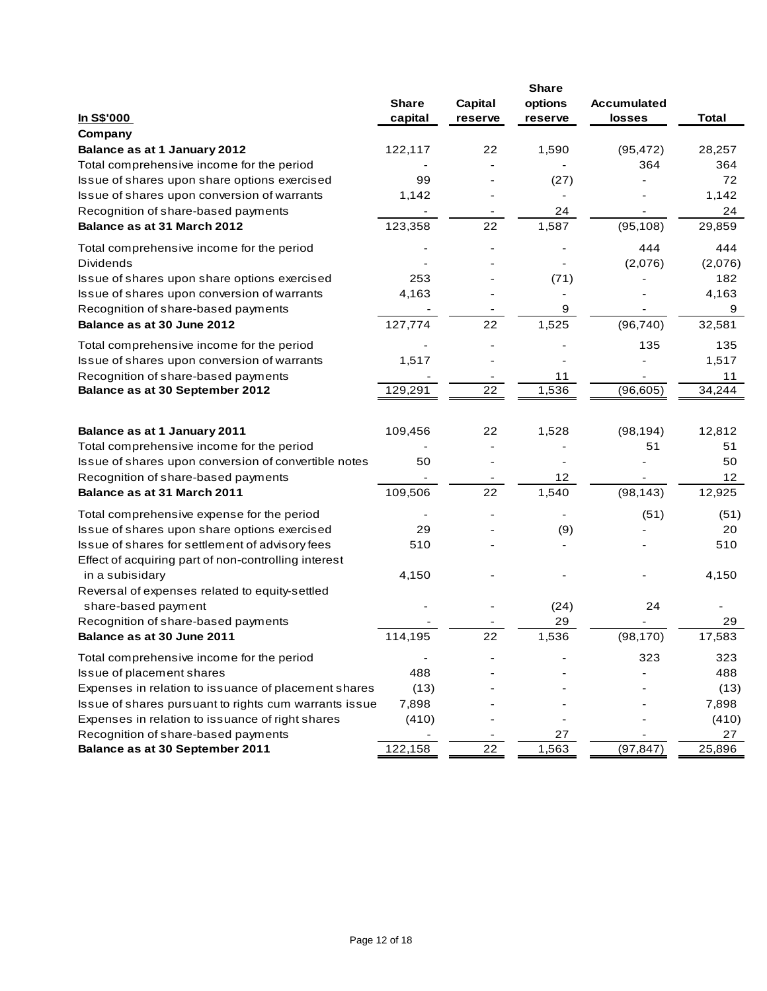|                                                                         |                          |         | <b>Share</b> |                    |              |
|-------------------------------------------------------------------------|--------------------------|---------|--------------|--------------------|--------------|
|                                                                         | <b>Share</b>             | Capital | options      | <b>Accumulated</b> |              |
| In S\$'000                                                              | capital                  | reserve | reserve      | <b>losses</b>      | <b>Total</b> |
| Company                                                                 |                          |         |              |                    |              |
| Balance as at 1 January 2012                                            | 122,117                  | 22      | 1,590        | (95, 472)          | 28,257       |
| Total comprehensive income for the period                               |                          |         |              | 364                | 364          |
| Issue of shares upon share options exercised                            | 99                       |         | (27)         |                    | 72           |
| Issue of shares upon conversion of warrants                             | 1,142                    |         |              |                    | 1,142        |
| Recognition of share-based payments                                     |                          |         | 24           |                    | 24           |
| Balance as at 31 March 2012                                             | 123,358                  | 22      | 1,587        | (95, 108)          | 29,859       |
| Total comprehensive income for the period                               |                          |         |              | 444                | 444          |
| <b>Dividends</b>                                                        |                          |         |              | (2,076)            | (2,076)      |
| Issue of shares upon share options exercised                            | 253                      |         | (71)         |                    | 182          |
| Issue of shares upon conversion of warrants                             | 4,163                    |         |              |                    | 4,163        |
| Recognition of share-based payments                                     |                          |         | 9            |                    | 9            |
| Balance as at 30 June 2012                                              | 127,774                  | 22      | 1,525        | (96, 740)          | 32,581       |
| Total comprehensive income for the period                               |                          |         |              | 135                | 135          |
| Issue of shares upon conversion of warrants                             | 1,517                    |         |              |                    | 1,517        |
| Recognition of share-based payments                                     |                          |         | 11           |                    | 11           |
| Balance as at 30 September 2012                                         | 129,291                  | 22      | 1,536        | (96, 605)          | 34,244       |
|                                                                         |                          |         |              |                    |              |
| Balance as at 1 January 2011                                            | 109,456                  | 22      | 1,528        | (98, 194)          | 12,812       |
| Total comprehensive income for the period                               | $\overline{\phantom{a}}$ |         |              | 51                 | 51           |
| Issue of shares upon conversion of convertible notes                    | 50                       |         |              |                    | 50           |
| Recognition of share-based payments                                     |                          |         | 12           |                    | 12           |
| Balance as at 31 March 2011                                             | 109,506                  | 22      | 1,540        | (98, 143)          | 12,925       |
| Total comprehensive expense for the period                              |                          |         |              | (51)               | (51)         |
| Issue of shares upon share options exercised                            | 29                       |         | (9)          |                    | 20           |
| Issue of shares for settlement of advisory fees                         | 510                      |         |              |                    | 510          |
| Effect of acquiring part of non-controlling interest<br>in a subisidary | 4,150                    |         |              |                    | 4,150        |
| Reversal of expenses related to equity-settled                          |                          |         |              |                    |              |
| share-based payment                                                     |                          |         | (24)         | 24                 |              |
| Recognition of share-based payments                                     |                          |         | 29           |                    | 29           |
| Balance as at 30 June 2011                                              | 114,195                  | 22      | 1,536        | (98, 170)          | 17,583       |
| Total comprehensive income for the period                               | $\overline{\phantom{a}}$ |         |              | 323                | 323          |
| Issue of placement shares                                               | 488                      |         |              |                    | 488          |
| Expenses in relation to issuance of placement shares                    | (13)                     |         |              |                    | (13)         |
| Issue of shares pursuant to rights cum warrants issue                   | 7,898                    |         |              |                    | 7,898        |
| Expenses in relation to issuance of right shares                        | (410)                    |         |              |                    | (410)        |
| Recognition of share-based payments                                     |                          |         | 27           |                    | 27           |
| Balance as at 30 September 2011                                         | 122,158                  | 22      | 1,563        | (97, 847)          | 25,896       |
|                                                                         |                          |         |              |                    |              |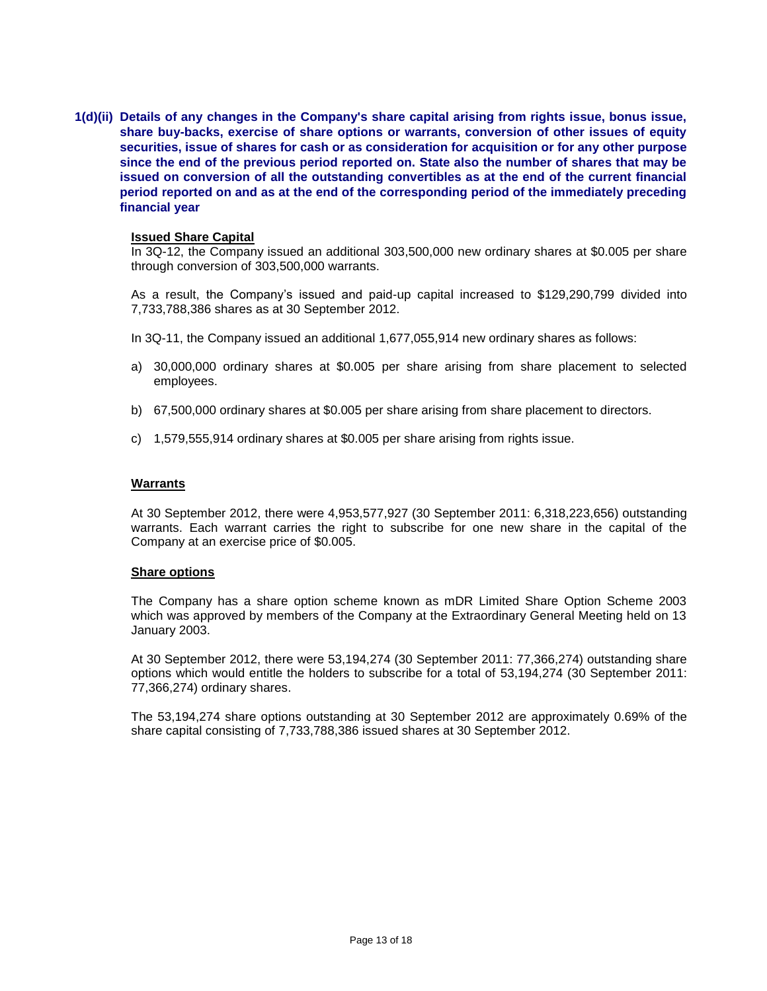**1(d)(ii) Details of any changes in the Company's share capital arising from rights issue, bonus issue, share buy-backs, exercise of share options or warrants, conversion of other issues of equity securities, issue of shares for cash or as consideration for acquisition or for any other purpose since the end of the previous period reported on. State also the number of shares that may be issued on conversion of all the outstanding convertibles as at the end of the current financial period reported on and as at the end of the corresponding period of the immediately preceding financial year**

#### **Issued Share Capital**

In 3Q-12, the Company issued an additional 303,500,000 new ordinary shares at \$0.005 per share through conversion of 303,500,000 warrants.

As a result, the Company's issued and paid-up capital increased to \$129,290,799 divided into 7,733,788,386 shares as at 30 September 2012.

- In 3Q-11, the Company issued an additional 1,677,055,914 new ordinary shares as follows:
- a) 30,000,000 ordinary shares at \$0.005 per share arising from share placement to selected employees.
- b) 67,500,000 ordinary shares at \$0.005 per share arising from share placement to directors.
- c) 1,579,555,914 ordinary shares at \$0.005 per share arising from rights issue.

#### **Warrants**

At 30 September 2012, there were 4,953,577,927 (30 September 2011: 6,318,223,656) outstanding warrants. Each warrant carries the right to subscribe for one new share in the capital of the Company at an exercise price of \$0.005.

#### **Share options**

The Company has a share option scheme known as mDR Limited Share Option Scheme 2003 which was approved by members of the Company at the Extraordinary General Meeting held on 13 January 2003.

At 30 September 2012, there were 53,194,274 (30 September 2011: 77,366,274) outstanding share options which would entitle the holders to subscribe for a total of 53,194,274 (30 September 2011: 77,366,274) ordinary shares.

The 53,194,274 share options outstanding at 30 September 2012 are approximately 0.69% of the share capital consisting of 7,733,788,386 issued shares at 30 September 2012.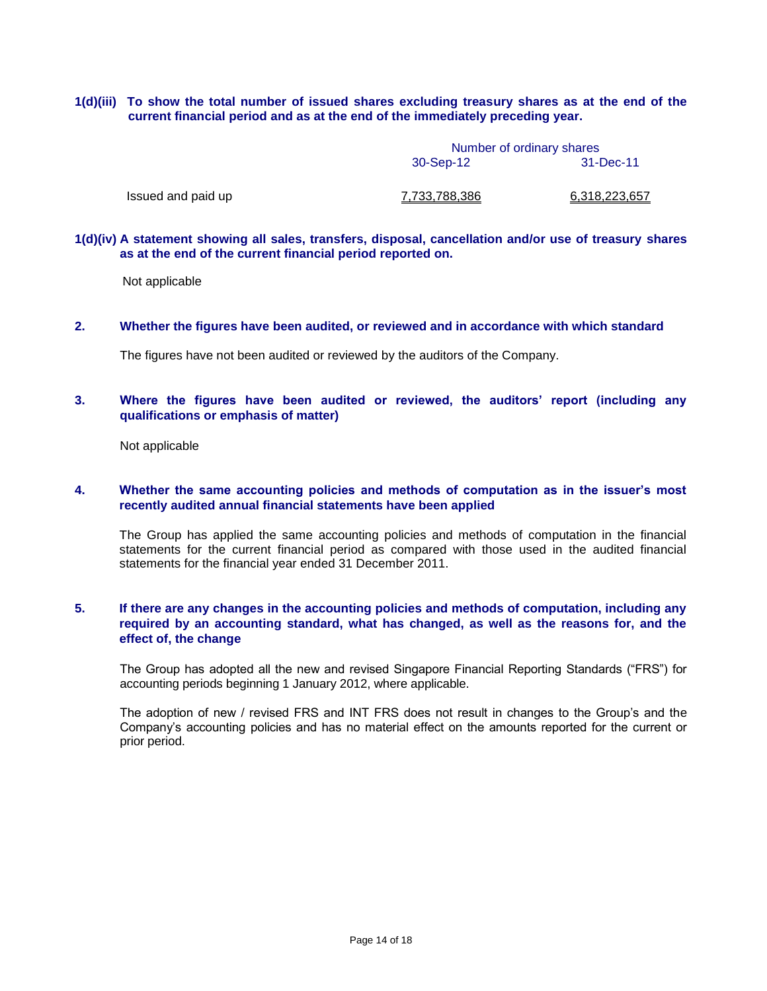#### **1(d)(iii) To show the total number of issued shares excluding treasury shares as at the end of the current financial period and as at the end of the immediately preceding year.**

Number of ordinary shares 30-Sep-12 31-Dec-11

Issued and paid up  $7,733,788,386$  6,318,223,657

#### **1(d)(iv) A statement showing all sales, transfers, disposal, cancellation and/or use of treasury shares as at the end of the current financial period reported on.**

Not applicable

#### **2. Whether the figures have been audited, or reviewed and in accordance with which standard**

The figures have not been audited or reviewed by the auditors of the Company.

#### **3. Where the figures have been audited or reviewed, the auditors' report (including any qualifications or emphasis of matter)**

Not applicable

#### **4. Whether the same accounting policies and methods of computation as in the issuer's most recently audited annual financial statements have been applied**

The Group has applied the same accounting policies and methods of computation in the financial statements for the current financial period as compared with those used in the audited financial statements for the financial year ended 31 December 2011.

### **5. If there are any changes in the accounting policies and methods of computation, including any required by an accounting standard, what has changed, as well as the reasons for, and the effect of, the change**

The Group has adopted all the new and revised Singapore Financial Reporting Standards ("FRS") for accounting periods beginning 1 January 2012, where applicable.

The adoption of new / revised FRS and INT FRS does not result in changes to the Group's and the Company's accounting policies and has no material effect on the amounts reported for the current or prior period.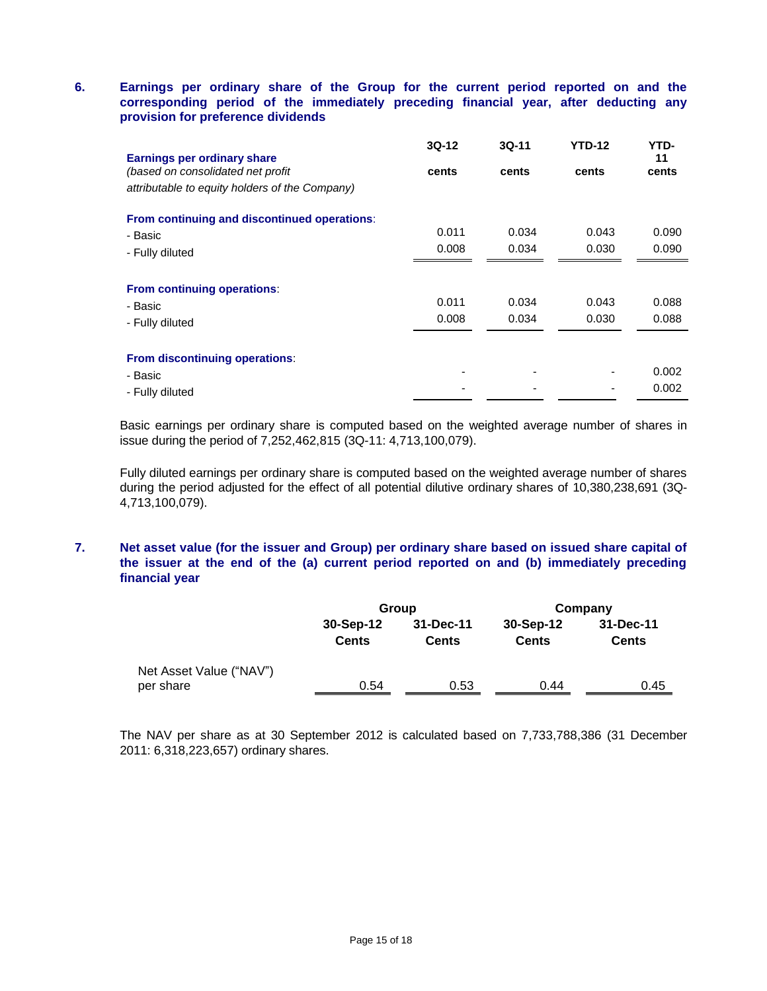### **6. Earnings per ordinary share of the Group for the current period reported on and the corresponding period of the immediately preceding financial year, after deducting any provision for preference dividends**

| <b>Earnings per ordinary share</b>             | $3Q-12$ | $3Q-11$ | <b>YTD-12</b> | YTD-<br>11 |
|------------------------------------------------|---------|---------|---------------|------------|
| (based on consolidated net profit              | cents   | cents   | cents         | cents      |
| attributable to equity holders of the Company) |         |         |               |            |
| From continuing and discontinued operations:   |         |         |               |            |
| - Basic                                        | 0.011   | 0.034   | 0.043         | 0.090      |
| - Fully diluted                                | 0.008   | 0.034   | 0.030         | 0.090      |
| From continuing operations:                    |         |         |               |            |
| - Basic                                        | 0.011   | 0.034   | 0.043         | 0.088      |
| - Fully diluted                                | 0.008   | 0.034   | 0.030         | 0.088      |
| From discontinuing operations:                 |         |         |               |            |
| - Basic                                        |         | -       |               | 0.002      |
| - Fully diluted                                |         |         |               | 0.002      |

Basic earnings per ordinary share is computed based on the weighted average number of shares in issue during the period of 7,252,462,815 (3Q-11: 4,713,100,079).

Fully diluted earnings per ordinary share is computed based on the weighted average number of shares during the period adjusted for the effect of all potential dilutive ordinary shares of 10,380,238,691 (3Q-4,713,100,079).

### **7. Net asset value (for the issuer and Group) per ordinary share based on issued share capital of the issuer at the end of the (a) current period reported on and (b) immediately preceding financial year**

|                                      |                           | Group                     | Company                   |                           |  |
|--------------------------------------|---------------------------|---------------------------|---------------------------|---------------------------|--|
|                                      | 30-Sep-12<br><b>Cents</b> | 31-Dec-11<br><b>Cents</b> | 30-Sep-12<br><b>Cents</b> | 31-Dec-11<br><b>Cents</b> |  |
| Net Asset Value ("NAV")<br>per share | 0.54                      | 0.53                      | 0.44                      | 0.45                      |  |

The NAV per share as at 30 September 2012 is calculated based on 7,733,788,386 (31 December 2011: 6,318,223,657) ordinary shares.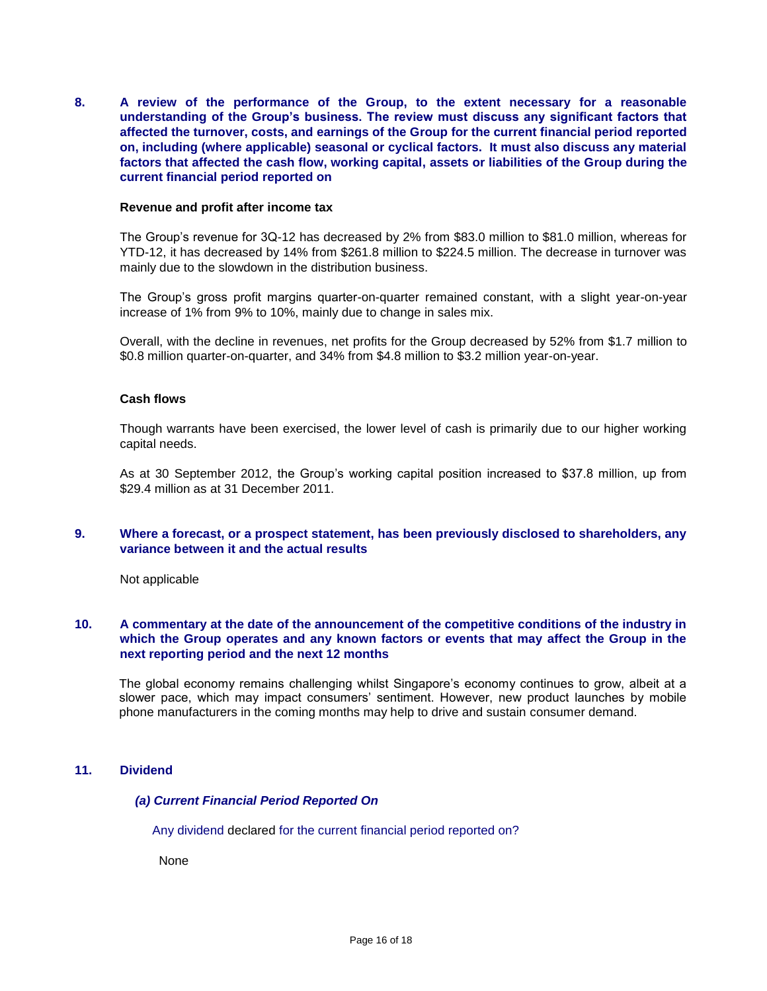**8. A review of the performance of the Group, to the extent necessary for a reasonable understanding of the Group's business. The review must discuss any significant factors that affected the turnover, costs, and earnings of the Group for the current financial period reported on, including (where applicable) seasonal or cyclical factors. It must also discuss any material factors that affected the cash flow, working capital, assets or liabilities of the Group during the current financial period reported on**

#### **Revenue and profit after income tax**

The Group's revenue for 3Q-12 has decreased by 2% from \$83.0 million to \$81.0 million, whereas for YTD-12, it has decreased by 14% from \$261.8 million to \$224.5 million. The decrease in turnover was mainly due to the slowdown in the distribution business.

The Group's gross profit margins quarter-on-quarter remained constant, with a slight year-on-year increase of 1% from 9% to 10%, mainly due to change in sales mix.

Overall, with the decline in revenues, net profits for the Group decreased by 52% from \$1.7 million to \$0.8 million quarter-on-quarter, and 34% from \$4.8 million to \$3.2 million year-on-year.

#### **Cash flows**

Though warrants have been exercised, the lower level of cash is primarily due to our higher working capital needs.

As at 30 September 2012, the Group's working capital position increased to \$37.8 million, up from \$29.4 million as at 31 December 2011.

#### **9. Where a forecast, or a prospect statement, has been previously disclosed to shareholders, any variance between it and the actual results**

Not applicable

#### **10. A commentary at the date of the announcement of the competitive conditions of the industry in which the Group operates and any known factors or events that may affect the Group in the next reporting period and the next 12 months**

The global economy remains challenging whilst Singapore's economy continues to grow, albeit at a slower pace, which may impact consumers' sentiment. However, new product launches by mobile phone manufacturers in the coming months may help to drive and sustain consumer demand.

### **11. Dividend**

#### *(a) Current Financial Period Reported On*

Any dividend declared for the current financial period reported on?

None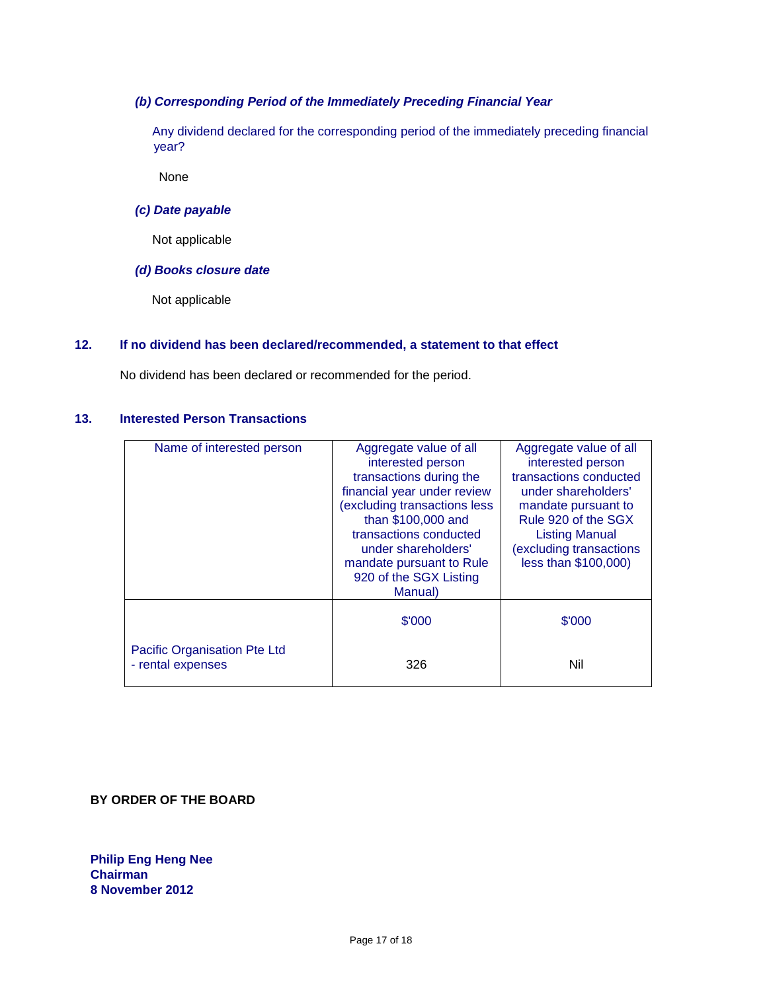### *(b) Corresponding Period of the Immediately Preceding Financial Year*

 Any dividend declared for the corresponding period of the immediately preceding financial year?

None

### *(c) Date payable*

Not applicable

### *(d) Books closure date*

Not applicable

### **12. If no dividend has been declared/recommended, a statement to that effect**

No dividend has been declared or recommended for the period.

### **13. Interested Person Transactions**

| Name of interested person    | Aggregate value of all       | Aggregate value of all |
|------------------------------|------------------------------|------------------------|
|                              | interested person            | interested person      |
|                              | transactions during the      | transactions conducted |
|                              | financial year under review  | under shareholders'    |
|                              | (excluding transactions less | mandate pursuant to    |
|                              | than \$100,000 and           | Rule 920 of the SGX    |
|                              | transactions conducted       | <b>Listing Manual</b>  |
|                              | under shareholders'          | excluding transactions |
|                              | mandate pursuant to Rule     | less than \$100,000)   |
|                              | 920 of the SGX Listing       |                        |
|                              | <b>Manual</b> )              |                        |
|                              |                              |                        |
|                              | \$'000                       | \$'000                 |
|                              |                              |                        |
| Pacific Organisation Pte Ltd |                              |                        |
| - rental expenses            | 326                          | Nil                    |
|                              |                              |                        |

**BY ORDER OF THE BOARD**

**Philip Eng Heng Nee Chairman 8 November 2012**